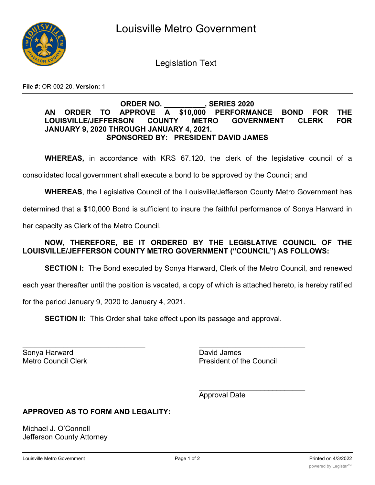

Legislation Text

**File #:** OR-002-20, **Version:** 1

## **ORDER NO. \_\_\_\_\_\_\_\_\_\_, SERIES 2020 AN ORDER TO APPROVE A \$10,000 PERFORMANCE BOND FOR THE LOUISVILLE/JEFFERSON COUNTY METRO GOVERNMENT CLERK FOR JANUARY 9, 2020 THROUGH JANUARY 4, 2021. SPONSORED BY: PRESIDENT DAVID JAMES**

**WHEREAS,** in accordance with KRS 67.120, the clerk of the legislative council of a

consolidated local government shall execute a bond to be approved by the Council; and

**WHEREAS**, the Legislative Council of the Louisville/Jefferson County Metro Government has

determined that a \$10,000 Bond is sufficient to insure the faithful performance of Sonya Harward in

her capacity as Clerk of the Metro Council.

## **NOW, THEREFORE, BE IT ORDERED BY THE LEGISLATIVE COUNCIL OF THE LOUISVILLE/JEFFERSON COUNTY METRO GOVERNMENT ("COUNCIL") AS FOLLOWS:**

**SECTION I:** The Bond executed by Sonya Harward, Clerk of the Metro Council, and renewed

each year thereafter until the position is vacated, a copy of which is attached hereto, is hereby ratified

for the period January 9, 2020 to January 4, 2021.

**SECTION II:** This Order shall take effect upon its passage and approval.

Sonya Harward **David James** 

 $\mathcal{L}_\text{max}$  , and the contribution of the contribution of the contribution of the contribution of the contribution of the contribution of the contribution of the contribution of the contribution of the contribution of t Metro Council Clerk **President of the Council** 

\_\_\_\_\_\_\_\_\_\_\_\_\_\_\_\_\_\_\_\_\_\_\_\_\_\_

Approval Date

## **APPROVED AS TO FORM AND LEGALITY:**

Michael J. O'Connell Jefferson County Attorney